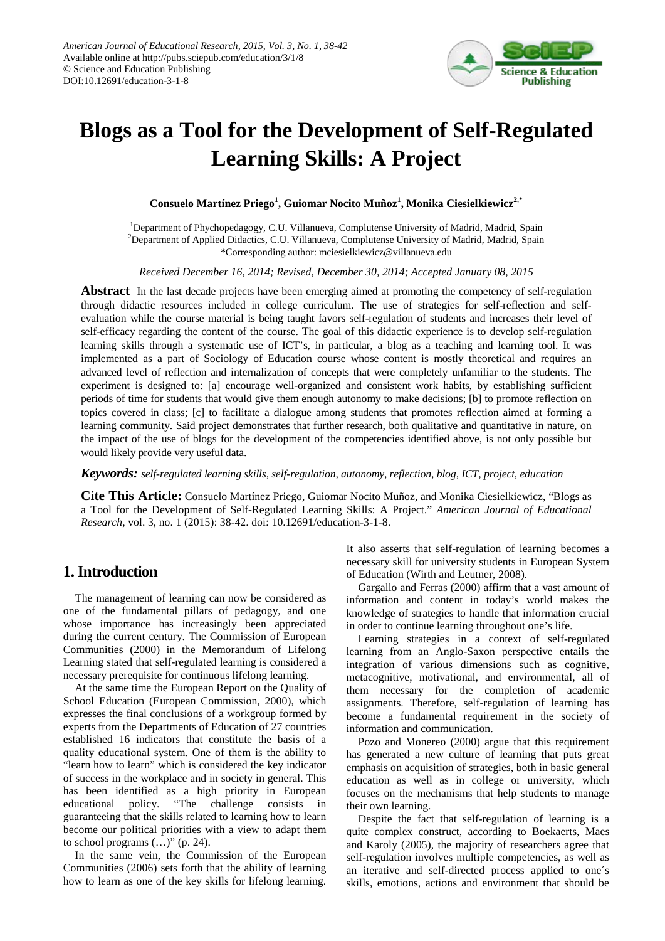

# **Blogs as a Tool for the Development of Self-Regulated Learning Skills: A Project**

**Consuelo Martínez Priego<sup>1</sup> , Guiomar Nocito Muñoz<sup>1</sup> , Monika Ciesielkiewicz2,\***

<sup>1</sup>Department of Phychopedagogy, C.U. Villanueva, Complutense University of Madrid, Madrid, Spain <sup>2</sup>Department of Applied Didactics, C.U. Villanueva, Complutense University of Madrid, Madrid, Spain \*Corresponding author: mciesielkiewicz@villanueva.edu

*Received December 16, 2014; Revised, December 30, 2014; Accepted January 08, 2015*

**Abstract** In the last decade projects have been emerging aimed at promoting the competency of self-regulation through didactic resources included in college curriculum. The use of strategies for self-reflection and selfevaluation while the course material is being taught favors self-regulation of students and increases their level of self-efficacy regarding the content of the course. The goal of this didactic experience is to develop self-regulation learning skills through a systematic use of ICT's, in particular, a blog as a teaching and learning tool. It was implemented as a part of Sociology of Education course whose content is mostly theoretical and requires an advanced level of reflection and internalization of concepts that were completely unfamiliar to the students. The experiment is designed to: [a] encourage well-organized and consistent work habits, by establishing sufficient periods of time for students that would give them enough autonomy to make decisions; [b] to promote reflection on topics covered in class; [c] to facilitate a dialogue among students that promotes reflection aimed at forming a learning community. Said project demonstrates that further research, both qualitative and quantitative in nature, on the impact of the use of blogs for the development of the competencies identified above, is not only possible but would likely provide very useful data.

*Keywords: self-regulated learning skills, self-regulation, autonomy, reflection, blog, ICT, project, education*

**Cite This Article:** Consuelo Martínez Priego, Guiomar Nocito Muñoz, and Monika Ciesielkiewicz, "Blogs as a Tool for the Development of Self-Regulated Learning Skills: A Project." *American Journal of Educational Research*, vol. 3, no. 1 (2015): 38-42. doi: 10.12691/education-3-1-8.

# **1. Introduction**

The management of learning can now be considered as one of the fundamental pillars of pedagogy, and one whose importance has increasingly been appreciated during the current century. The Commission of European Communities (2000) in the Memorandum of Lifelong Learning stated that self-regulated learning is considered a necessary prerequisite for continuous lifelong learning.

At the same time the European Report on the Quality of School Education (European Commission, 2000), which expresses the final conclusions of a workgroup formed by experts from the Departments of Education of 27 countries established 16 indicators that constitute the basis of a quality educational system. One of them is the ability to "learn how to learn" which is considered the key indicator of success in the workplace and in society in general. This has been identified as a high priority in European educational policy. "The challenge consists in guaranteeing that the skills related to learning how to learn become our political priorities with a view to adapt them to school programs  $(\ldots)$ " (p. 24).

In the same vein, the Commission of the European Communities (2006) sets forth that the ability of learning how to learn as one of the key skills for lifelong learning. It also asserts that self-regulation of learning becomes a necessary skill for university students in European System of Education (Wirth and Leutner, 2008).

Gargallo and Ferras (2000) affirm that a vast amount of information and content in today's world makes the knowledge of strategies to handle that information crucial in order to continue learning throughout one's life.

Learning strategies in a context of self-regulated learning from an Anglo-Saxon perspective entails the integration of various dimensions such as cognitive, metacognitive, motivational, and environmental, all of them necessary for the completion of academic assignments. Therefore, self-regulation of learning has become a fundamental requirement in the society of information and communication.

Pozo and Monereo (2000) argue that this requirement has generated a new culture of learning that puts great emphasis on acquisition of strategies, both in basic general education as well as in college or university, which focuses on the mechanisms that help students to manage their own learning.

Despite the fact that self-regulation of learning is a quite complex construct, according to Boekaerts, Maes and Karoly (2005), the majority of researchers agree that self-regulation involves multiple competencies, as well as an iterative and self-directed process applied to one´s skills, emotions, actions and environment that should be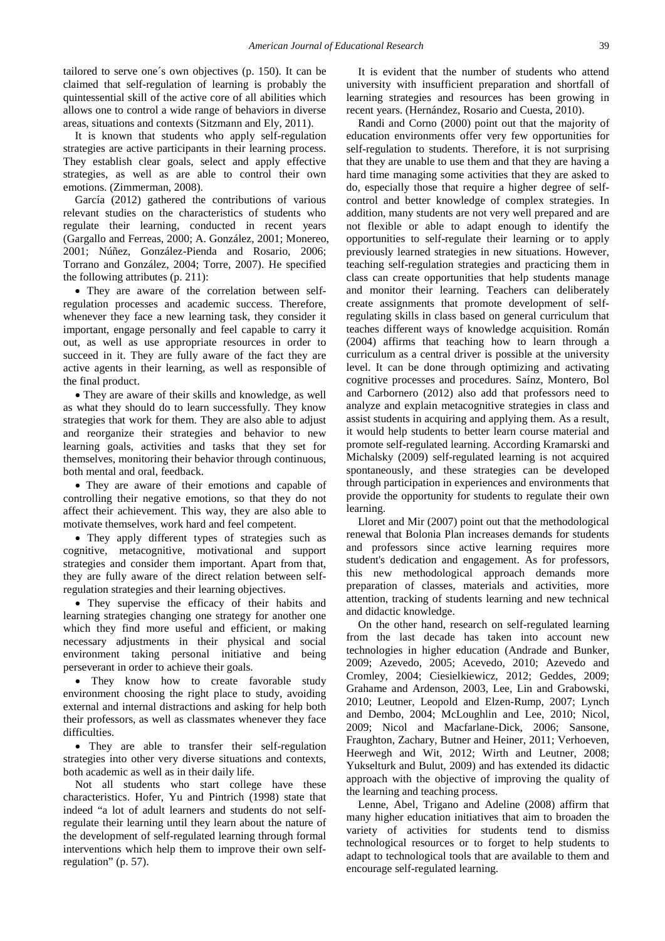tailored to serve one´s own objectives (p. 150). It can be claimed that self-regulation of learning is probably the quintessential skill of the active core of all abilities which allows one to control a wide range of behaviors in diverse areas, situations and contexts (Sitzmann and Ely, 2011).

It is known that students who apply self-regulation strategies are active participants in their learning process. They establish clear goals, select and apply effective strategies, as well as are able to control their own emotions. (Zimmerman, 2008).

García (2012) gathered the contributions of various relevant studies on the characteristics of students who regulate their learning, conducted in recent years (Gargallo and Ferreas, 2000; A. González, 2001; Monereo, 2001; Núñez, González-Pienda and Rosario, 2006; Torrano and González, 2004; Torre, 2007). He specified the following attributes (p. 211):

• They are aware of the correlation between selfregulation processes and academic success. Therefore, whenever they face a new learning task, they consider it important, engage personally and feel capable to carry it out, as well as use appropriate resources in order to succeed in it. They are fully aware of the fact they are active agents in their learning, as well as responsible of the final product.

• They are aware of their skills and knowledge, as well as what they should do to learn successfully. They know strategies that work for them. They are also able to adjust and reorganize their strategies and behavior to new learning goals, activities and tasks that they set for themselves, monitoring their behavior through continuous, both mental and oral, feedback.

• They are aware of their emotions and capable of controlling their negative emotions, so that they do not affect their achievement. This way, they are also able to motivate themselves, work hard and feel competent.

• They apply different types of strategies such as cognitive, metacognitive, motivational and support strategies and consider them important. Apart from that, they are fully aware of the direct relation between selfregulation strategies and their learning objectives.

• They supervise the efficacy of their habits and learning strategies changing one strategy for another one which they find more useful and efficient, or making necessary adjustments in their physical and social environment taking personal initiative and being perseverant in order to achieve their goals.

• They know how to create favorable study environment choosing the right place to study, avoiding external and internal distractions and asking for help both their professors, as well as classmates whenever they face difficulties.

• They are able to transfer their self-regulation strategies into other very diverse situations and contexts, both academic as well as in their daily life.

Not all students who start college have these characteristics. Hofer, Yu and Pintrich (1998) state that indeed "a lot of adult learners and students do not selfregulate their learning until they learn about the nature of the development of self-regulated learning through formal interventions which help them to improve their own selfregulation" (p. 57).

It is evident that the number of students who attend university with insufficient preparation and shortfall of learning strategies and resources has been growing in recent years. (Hernández, Rosario and Cuesta, 2010).

Randi and Corno (2000) point out that the majority of education environments offer very few opportunities for self-regulation to students. Therefore, it is not surprising that they are unable to use them and that they are having a hard time managing some activities that they are asked to do, especially those that require a higher degree of selfcontrol and better knowledge of complex strategies. In addition, many students are not very well prepared and are not flexible or able to adapt enough to identify the opportunities to self-regulate their learning or to apply previously learned strategies in new situations. However, teaching self-regulation strategies and practicing them in class can create opportunities that help students manage and monitor their learning. Teachers can deliberately create assignments that promote development of selfregulating skills in class based on general curriculum that teaches different ways of knowledge acquisition. Román (2004) affirms that teaching how to learn through a curriculum as a central driver is possible at the university level. It can be done through optimizing and activating cognitive processes and procedures. Saínz, Montero, Bol and Carbornero (2012) also add that professors need to analyze and explain metacognitive strategies in class and assist students in acquiring and applying them. As a result, it would help students to better learn course material and promote self-regulated learning. According Kramarski and Michalsky (2009) self-regulated learning is not acquired spontaneously, and these strategies can be developed through participation in experiences and environments that provide the opportunity for students to regulate their own learning.

Lloret and Mir (2007) point out that the methodological renewal that Bolonia Plan increases demands for students and professors since active learning requires more student's dedication and engagement. As for professors, this new methodological approach demands more preparation of classes, materials and activities, more attention, tracking of students learning and new technical and didactic knowledge.

On the other hand, research on self-regulated learning from the last decade has taken into account new technologies in higher education (Andrade and Bunker, 2009; Azevedo, 2005; Acevedo, 2010; Azevedo and Cromley, 2004; Ciesielkiewicz, 2012; Geddes, 2009; Grahame and Ardenson, 2003, Lee, Lin and Grabowski, 2010; Leutner, Leopold and Elzen-Rump, 2007; Lynch and Dembo, 2004; McLoughlin and Lee, 2010; Nicol, 2009; Nicol and Macfarlane-Dick, 2006; Sansone, Fraughton, Zachary, Butner and Heiner, 2011; Verhoeven, Heerwegh and Wit, 2012; Wirth and Leutner, 2008; Yukselturk and Bulut, 2009) and has extended its didactic approach with the objective of improving the quality of the learning and teaching process.

Lenne, Abel, Trigano and Adeline (2008) affirm that many higher education initiatives that aim to broaden the variety of activities for students tend to dismiss technological resources or to forget to help students to adapt to technological tools that are available to them and encourage self-regulated learning.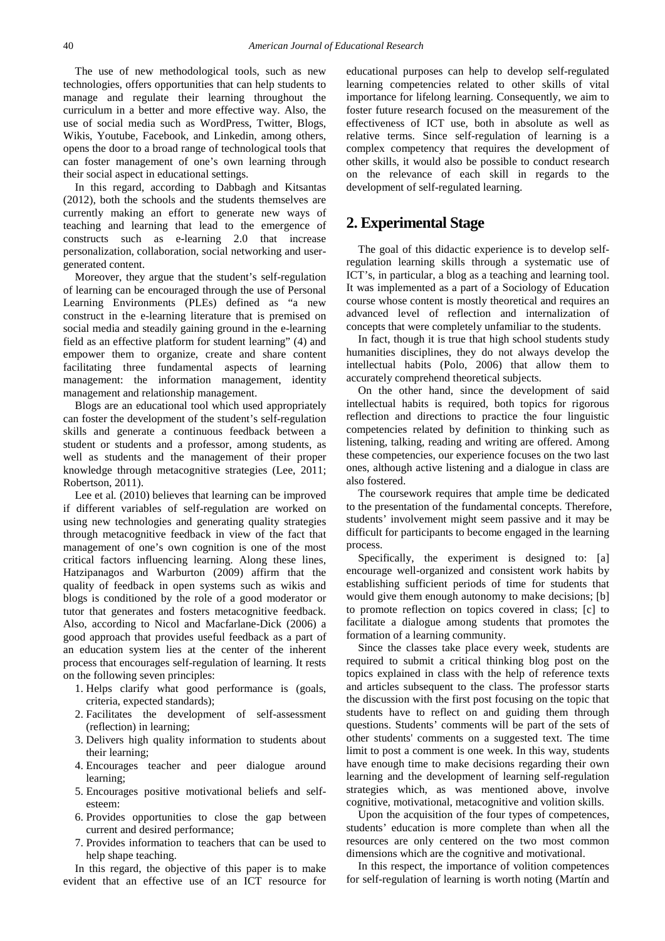The use of new methodological tools, such as new technologies, offers opportunities that can help students to manage and regulate their learning throughout the curriculum in a better and more effective way. Also, the use of social media such as WordPress, Twitter, Blogs, Wikis, Youtube, Facebook, and Linkedin, among others, opens the door to a broad range of technological tools that can foster management of one's own learning through their social aspect in educational settings.

In this regard, according to Dabbagh and Kitsantas (2012), both the schools and the students themselves are currently making an effort to generate new ways of teaching and learning that lead to the emergence of constructs such as e-learning 2.0 that increase personalization, collaboration, social networking and usergenerated content.

Moreover, they argue that the student's self-regulation of learning can be encouraged through the use of Personal Learning Environments (PLEs) defined as "a new construct in the e-learning literature that is premised on social media and steadily gaining ground in the e-learning field as an effective platform for student learning" (4) and empower them to organize, create and share content facilitating three fundamental aspects of learning management: the information management, identity management and relationship management.

Blogs are an educational tool which used appropriately can foster the development of the student's self-regulation skills and generate a continuous feedback between a student or students and a professor, among students, as well as students and the management of their proper knowledge through metacognitive strategies (Lee, 2011; Robertson, 2011).

Lee et al*.* (2010) believes that learning can be improved if different variables of self-regulation are worked on using new technologies and generating quality strategies through metacognitive feedback in view of the fact that management of one's own cognition is one of the most critical factors influencing learning. Along these lines, Hatzipanagos and Warburton (2009) affirm that the quality of feedback in open systems such as wikis and blogs is conditioned by the role of a good moderator or tutor that generates and fosters metacognitive feedback. Also, according to Nicol and Macfarlane-Dick (2006) a good approach that provides useful feedback as a part of an education system lies at the center of the inherent process that encourages self-regulation of learning. It rests on the following seven principles:

- 1. Helps clarify what good performance is (goals, criteria, expected standards);
- 2. Facilitates the development of self-assessment (reflection) in learning;
- 3. Delivers high quality information to students about their learning;
- 4. Encourages teacher and peer dialogue around learning;
- 5. Encourages positive motivational beliefs and selfesteem:
- 6. Provides opportunities to close the gap between current and desired performance;
- 7. Provides information to teachers that can be used to help shape teaching.

In this regard, the objective of this paper is to make evident that an effective use of an ICT resource for educational purposes can help to develop self-regulated learning competencies related to other skills of vital importance for lifelong learning. Consequently, we aim to foster future research focused on the measurement of the effectiveness of ICT use, both in absolute as well as relative terms. Since self-regulation of learning is a complex competency that requires the development of other skills, it would also be possible to conduct research on the relevance of each skill in regards to the development of self-regulated learning.

# **2. Experimental Stage**

The goal of this didactic experience is to develop selfregulation learning skills through a systematic use of ICT's, in particular, a blog as a teaching and learning tool. It was implemented as a part of a Sociology of Education course whose content is mostly theoretical and requires an advanced level of reflection and internalization of concepts that were completely unfamiliar to the students.

In fact, though it is true that high school students study humanities disciplines, they do not always develop the intellectual habits (Polo, 2006) that allow them to accurately comprehend theoretical subjects.

On the other hand, since the development of said intellectual habits is required, both topics for rigorous reflection and directions to practice the four linguistic competencies related by definition to thinking such as listening, talking, reading and writing are offered. Among these competencies, our experience focuses on the two last ones, although active listening and a dialogue in class are also fostered.

The coursework requires that ample time be dedicated to the presentation of the fundamental concepts. Therefore, students' involvement might seem passive and it may be difficult for participants to become engaged in the learning process.

Specifically, the experiment is designed to: [a] encourage well-organized and consistent work habits by establishing sufficient periods of time for students that would give them enough autonomy to make decisions; [b] to promote reflection on topics covered in class; [c] to facilitate a dialogue among students that promotes the formation of a learning community.

Since the classes take place every week, students are required to submit a critical thinking blog post on the topics explained in class with the help of reference texts and articles subsequent to the class. The professor starts the discussion with the first post focusing on the topic that students have to reflect on and guiding them through questions. Students' comments will be part of the sets of other students' comments on a suggested text. The time limit to post a comment is one week. In this way, students have enough time to make decisions regarding their own learning and the development of learning self-regulation strategies which, as was mentioned above, involve cognitive, motivational, metacognitive and volition skills.

Upon the acquisition of the four types of competences, students' education is more complete than when all the resources are only centered on the two most common dimensions which are the cognitive and motivational.

In this respect, the importance of volition competences for self-regulation of learning is worth noting (Martín and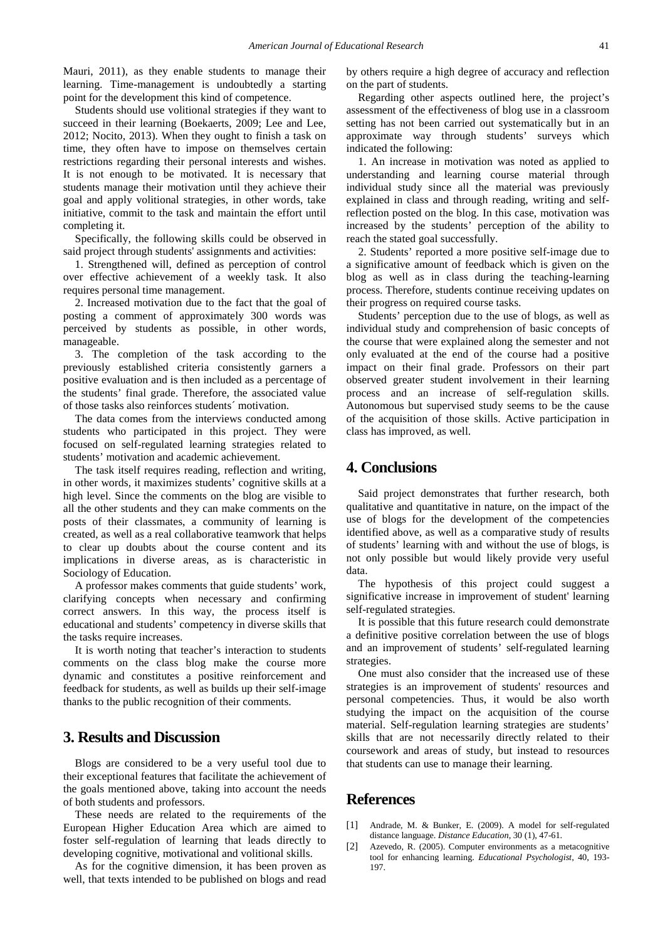Mauri, 2011), as they enable students to manage their learning. Time-management is undoubtedly a starting point for the development this kind of competence.

Students should use volitional strategies if they want to succeed in their learning (Boekaerts, 2009; Lee and Lee, 2012; Nocito, 2013). When they ought to finish a task on time, they often have to impose on themselves certain restrictions regarding their personal interests and wishes. It is not enough to be motivated. It is necessary that students manage their motivation until they achieve their goal and apply volitional strategies, in other words, take initiative, commit to the task and maintain the effort until completing it.

Specifically, the following skills could be observed in said project through students' assignments and activities:

1. Strengthened will, defined as perception of control over effective achievement of a weekly task. It also requires personal time management.

2. Increased motivation due to the fact that the goal of posting a comment of approximately 300 words was perceived by students as possible, in other words, manageable.

3. The completion of the task according to the previously established criteria consistently garners a positive evaluation and is then included as a percentage of the students' final grade. Therefore, the associated value of those tasks also reinforces students´ motivation.

The data comes from the interviews conducted among students who participated in this project. They were focused on self-regulated learning strategies related to students' motivation and academic achievement.

The task itself requires reading, reflection and writing, in other words, it maximizes students' cognitive skills at a high level. Since the comments on the blog are visible to all the other students and they can make comments on the posts of their classmates, a community of learning is created, as well as a real collaborative teamwork that helps to clear up doubts about the course content and its implications in diverse areas, as is characteristic in Sociology of Education.

A professor makes comments that guide students' work, clarifying concepts when necessary and confirming correct answers. In this way, the process itself is educational and students' competency in diverse skills that the tasks require increases.

It is worth noting that teacher's interaction to students comments on the class blog make the course more dynamic and constitutes a positive reinforcement and feedback for students, as well as builds up their self-image thanks to the public recognition of their comments.

# **3. Results and Discussion**

Blogs are considered to be a very useful tool due to their exceptional features that facilitate the achievement of the goals mentioned above, taking into account the needs of both students and professors.

These needs are related to the requirements of the European Higher Education Area which are aimed to foster self-regulation of learning that leads directly to developing cognitive, motivational and volitional skills.

As for the cognitive dimension, it has been proven as well, that texts intended to be published on blogs and read by others require a high degree of accuracy and reflection on the part of students.

Regarding other aspects outlined here, the project's assessment of the effectiveness of blog use in a classroom setting has not been carried out systematically but in an approximate way through students' surveys which indicated the following:

1. An increase in motivation was noted as applied to understanding and learning course material through individual study since all the material was previously explained in class and through reading, writing and selfreflection posted on the blog. In this case, motivation was increased by the students' perception of the ability to reach the stated goal successfully.

2. Students' reported a more positive self-image due to a significative amount of feedback which is given on the blog as well as in class during the teaching-learning process. Therefore, students continue receiving updates on their progress on required course tasks.

Students' perception due to the use of blogs, as well as individual study and comprehension of basic concepts of the course that were explained along the semester and not only evaluated at the end of the course had a positive impact on their final grade. Professors on their part observed greater student involvement in their learning process and an increase of self-regulation skills. Autonomous but supervised study seems to be the cause of the acquisition of those skills. Active participation in class has improved, as well.

# **4. Conclusions**

Said project demonstrates that further research, both qualitative and quantitative in nature, on the impact of the use of blogs for the development of the competencies identified above, as well as a comparative study of results of students' learning with and without the use of blogs, is not only possible but would likely provide very useful data.

The hypothesis of this project could suggest a significative increase in improvement of student' learning self-regulated strategies.

It is possible that this future research could demonstrate a definitive positive correlation between the use of blogs and an improvement of students' self-regulated learning strategies.

One must also consider that the increased use of these strategies is an improvement of students' resources and personal competencies. Thus, it would be also worth studying the impact on the acquisition of the course material. Self-regulation learning strategies are students' skills that are not necessarily directly related to their coursework and areas of study, but instead to resources that students can use to manage their learning.

# **References**

- [1] Andrade, M. & Bunker, E. (2009). A model for self-regulated distance language. *Distance Education*, 30 (1), 47-61.
- [2] Azevedo, R. (2005). Computer environments as a metacognitive tool for enhancing learning. *Educational Psychologist*, 40, 193- 197.